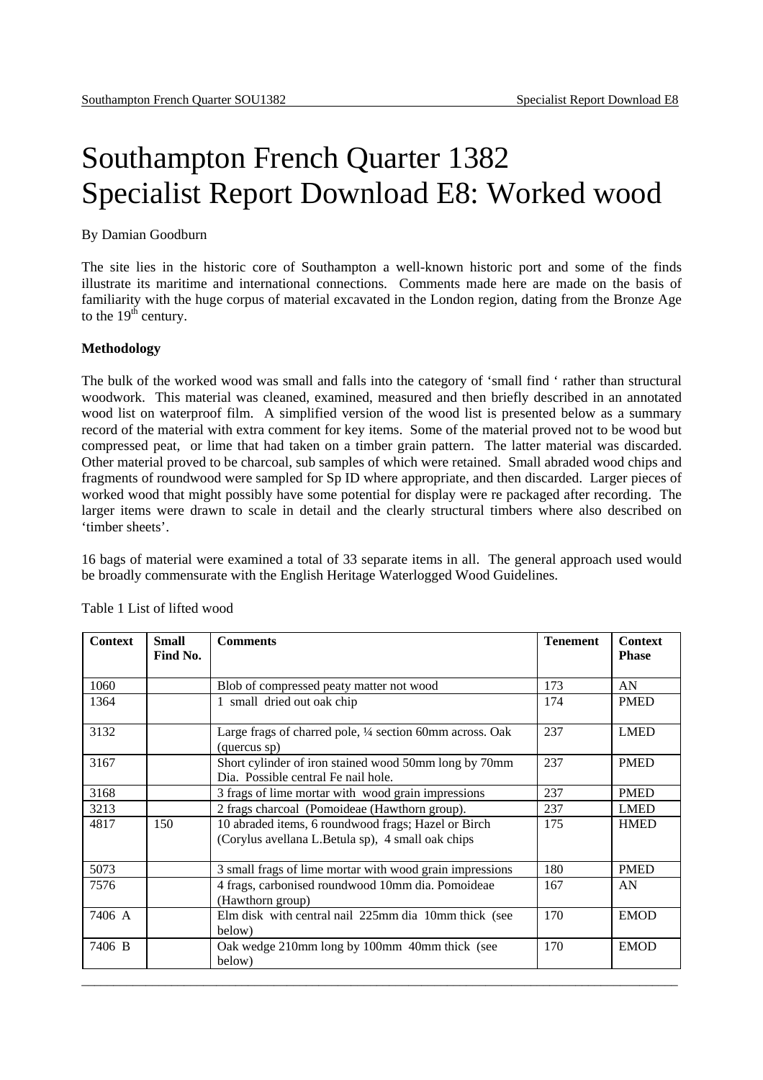# Southampton French Quarter 1382 Specialist Report Download E8: Worked wood

#### By Damian Goodburn

The site lies in the historic core of Southampton a well-known historic port and some of the finds illustrate its maritime and international connections. Comments made here are made on the basis of familiarity with the huge corpus of material excavated in the London region, dating from the Bronze Age to the  $19<sup>th</sup>$  century.

#### **Methodology**

The bulk of the worked wood was small and falls into the category of 'small find ' rather than structural woodwork. This material was cleaned, examined, measured and then briefly described in an annotated wood list on waterproof film. A simplified version of the wood list is presented below as a summary record of the material with extra comment for key items. Some of the material proved not to be wood but compressed peat, or lime that had taken on a timber grain pattern. The latter material was discarded. Other material proved to be charcoal, sub samples of which were retained. Small abraded wood chips and fragments of roundwood were sampled for Sp ID where appropriate, and then discarded. Larger pieces of worked wood that might possibly have some potential for display were re packaged after recording. The larger items were drawn to scale in detail and the clearly structural timbers where also described on 'timber sheets'.

16 bags of material were examined a total of 33 separate items in all. The general approach used would be broadly commensurate with the English Heritage Waterlogged Wood Guidelines.

| <b>Context</b> | <b>Small</b><br>Find No. | <b>Comments</b>                                                                                          | <b>Tenement</b> | <b>Context</b><br><b>Phase</b> |
|----------------|--------------------------|----------------------------------------------------------------------------------------------------------|-----------------|--------------------------------|
|                |                          |                                                                                                          |                 |                                |
| 1060           |                          | Blob of compressed peaty matter not wood                                                                 | 173             | AN                             |
| 1364           |                          | 1 small dried out oak chip                                                                               | 174             | <b>PMED</b>                    |
| 3132           |                          | Large frags of charred pole, 1/4 section 60mm across. Oak<br>(quercus sp)                                | 237             | <b>LMED</b>                    |
| 3167           |                          | Short cylinder of iron stained wood 50mm long by 70mm<br>Dia. Possible central Fe nail hole.             | 237             | <b>PMED</b>                    |
| 3168           |                          | 3 frags of lime mortar with wood grain impressions                                                       | 237             | <b>PMED</b>                    |
| 3213           |                          | 2 frags charcoal (Pomoideae (Hawthorn group).                                                            | 237             | <b>LMED</b>                    |
| 4817           | 150                      | 10 abraded items, 6 roundwood frags; Hazel or Birch<br>(Corylus avellana L.Betula sp), 4 small oak chips | 175             | <b>HMED</b>                    |
| 5073           |                          | 3 small frags of lime mortar with wood grain impressions                                                 | 180             | <b>PMED</b>                    |
| 7576           |                          | 4 frags, carbonised roundwood 10mm dia. Pomoideae<br>(Hawthorn group)                                    | 167             | AN                             |
| 7406 A         |                          | Elm disk with central nail 225mm dia 10mm thick (see<br>below)                                           | 170             | <b>EMOD</b>                    |
| 7406 B         |                          | Oak wedge 210mm long by 100mm 40mm thick (see<br>below)                                                  | 170             | <b>EMOD</b>                    |
|                |                          |                                                                                                          |                 |                                |

Table 1 List of lifted wood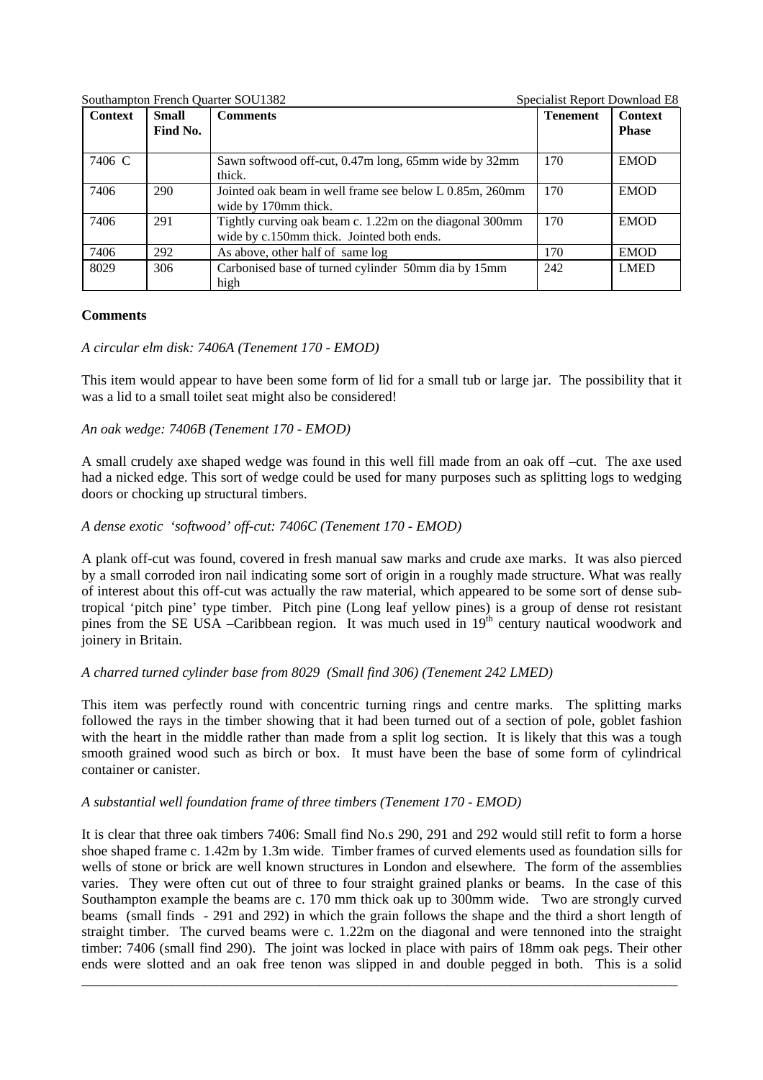Southampton French Quarter SOU1382 Specialist Report Download E8

| <b>Context</b> | <b>Small</b><br>Find No. | <b>Comments</b>                                                                                      | <b>Tenement</b> | <b>Context</b><br><b>Phase</b> |
|----------------|--------------------------|------------------------------------------------------------------------------------------------------|-----------------|--------------------------------|
| 7406 C         |                          | Sawn softwood off-cut, 0.47m long, 65mm wide by 32mm<br>thick.                                       | 170             | <b>EMOD</b>                    |
| 7406           | 290                      | Jointed oak beam in well frame see below L 0.85m, 260mm<br>wide by 170mm thick.                      | 170             | <b>EMOD</b>                    |
| 7406           | 291                      | Tightly curving oak beam c. 1.22m on the diagonal 300mm<br>wide by c.150mm thick. Jointed both ends. | 170             | <b>EMOD</b>                    |
| 7406           | 292                      | As above, other half of same log                                                                     | 170             | <b>EMOD</b>                    |
| 8029           | 306                      | Carbonised base of turned cylinder 50mm dia by 15mm<br>high                                          | 242             | <b>LMED</b>                    |

# **Comments**

# *A circular elm disk: 7406A (Tenement 170 - EMOD)*

This item would appear to have been some form of lid for a small tub or large jar. The possibility that it was a lid to a small toilet seat might also be considered!

# *An oak wedge: 7406B (Tenement 170 - EMOD)*

A small crudely axe shaped wedge was found in this well fill made from an oak off –cut. The axe used had a nicked edge. This sort of wedge could be used for many purposes such as splitting logs to wedging doors or chocking up structural timbers.

# *A dense exotic 'softwood' off-cut: 7406C (Tenement 170 - EMOD)*

A plank off-cut was found, covered in fresh manual saw marks and crude axe marks. It was also pierced by a small corroded iron nail indicating some sort of origin in a roughly made structure. What was really of interest about this off-cut was actually the raw material, which appeared to be some sort of dense subtropical 'pitch pine' type timber. Pitch pine (Long leaf yellow pines) is a group of dense rot resistant pines from the SE USA –Caribbean region. It was much used in 19<sup>th</sup> century nautical woodwork and joinery in Britain.

# *A charred turned cylinder base from 8029 (Small find 306) (Tenement 242 LMED)*

This item was perfectly round with concentric turning rings and centre marks. The splitting marks followed the rays in the timber showing that it had been turned out of a section of pole, goblet fashion with the heart in the middle rather than made from a split log section. It is likely that this was a tough smooth grained wood such as birch or box. It must have been the base of some form of cylindrical container or canister.

# *A substantial well foundation frame of three timbers (Tenement 170 - EMOD)*

It is clear that three oak timbers 7406: Small find No.s 290, 291 and 292 would still refit to form a horse shoe shaped frame c. 1.42m by 1.3m wide. Timber frames of curved elements used as foundation sills for wells of stone or brick are well known structures in London and elsewhere. The form of the assemblies varies. They were often cut out of three to four straight grained planks or beams. In the case of this Southampton example the beams are c. 170 mm thick oak up to 300mm wide. Two are strongly curved beams (small finds - 291 and 292) in which the grain follows the shape and the third a short length of straight timber. The curved beams were c. 1.22m on the diagonal and were tennoned into the straight timber: 7406 (small find 290). The joint was locked in place with pairs of 18mm oak pegs. Their other ends were slotted and an oak free tenon was slipped in and double pegged in both. This is a solid

 $\_$  ,  $\_$  ,  $\_$  ,  $\_$  ,  $\_$  ,  $\_$  ,  $\_$  ,  $\_$  ,  $\_$  ,  $\_$  ,  $\_$  ,  $\_$  ,  $\_$  ,  $\_$  ,  $\_$  ,  $\_$  ,  $\_$  ,  $\_$  ,  $\_$  ,  $\_$  ,  $\_$  ,  $\_$  ,  $\_$  ,  $\_$  ,  $\_$  ,  $\_$  ,  $\_$  ,  $\_$  ,  $\_$  ,  $\_$  ,  $\_$  ,  $\_$  ,  $\_$  ,  $\_$  ,  $\_$  ,  $\_$  ,  $\_$  ,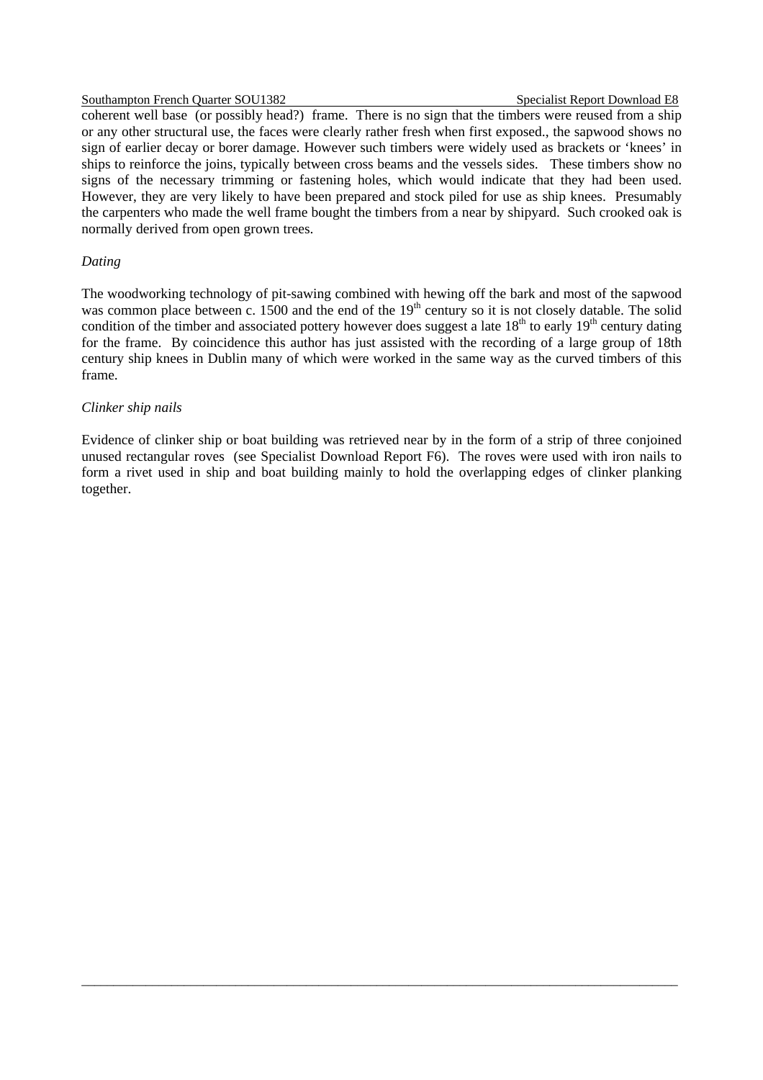#### Southampton French Quarter SOU1382 Specialist Report Download E8

coherent well base (or possibly head?) frame. There is no sign that the timbers were reused from a ship or any other structural use, the faces were clearly rather fresh when first exposed., the sapwood shows no sign of earlier decay or borer damage. However such timbers were widely used as brackets or 'knees' in ships to reinforce the joins, typically between cross beams and the vessels sides. These timbers show no signs of the necessary trimming or fastening holes, which would indicate that they had been used. However, they are very likely to have been prepared and stock piled for use as ship knees. Presumably the carpenters who made the well frame bought the timbers from a near by shipyard. Such crooked oak is normally derived from open grown trees.

#### *Dating*

The woodworking technology of pit-sawing combined with hewing off the bark and most of the sapwood was common place between c. 1500 and the end of the  $19<sup>th</sup>$  century so it is not closely datable. The solid condition of the timber and associated pottery however does suggest a late  $18<sup>th</sup>$  to early  $19<sup>th</sup>$  century dating for the frame. By coincidence this author has just assisted with the recording of a large group of 18th century ship knees in Dublin many of which were worked in the same way as the curved timbers of this frame.

#### *Clinker ship nails*

Evidence of clinker ship or boat building was retrieved near by in the form of a strip of three conjoined unused rectangular roves (see Specialist Download Report F6). The roves were used with iron nails to form a rivet used in ship and boat building mainly to hold the overlapping edges of clinker planking together.

 $\_$  ,  $\_$  ,  $\_$  ,  $\_$  ,  $\_$  ,  $\_$  ,  $\_$  ,  $\_$  ,  $\_$  ,  $\_$  ,  $\_$  ,  $\_$  ,  $\_$  ,  $\_$  ,  $\_$  ,  $\_$  ,  $\_$  ,  $\_$  ,  $\_$  ,  $\_$  ,  $\_$  ,  $\_$  ,  $\_$  ,  $\_$  ,  $\_$  ,  $\_$  ,  $\_$  ,  $\_$  ,  $\_$  ,  $\_$  ,  $\_$  ,  $\_$  ,  $\_$  ,  $\_$  ,  $\_$  ,  $\_$  ,  $\_$  ,